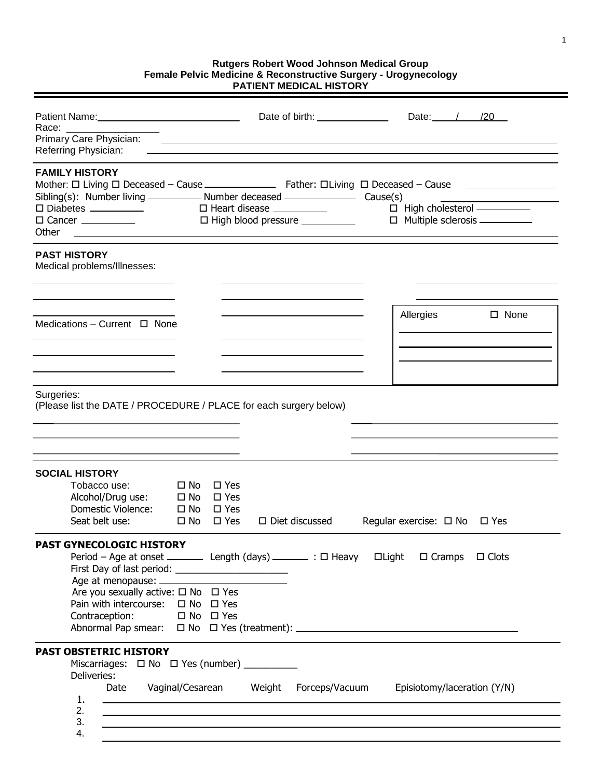## **Rutgers Robert Wood Johnson Medical Group Female Pelvic Medicine & Reconstructive Surgery - Urogynecology PATIENT MEDICAL HISTORY**

| Race: ____________<br>Primary Care Physician:<br>Referring Physician:                                                                  | Date of birth: <u>contained</u><br><u> 1989 - Andrea Andrew Maria (h. 1989).</u>                                                                                                                                                                                                                                                                                                                                             | Date: / / /20                                                                                      |
|----------------------------------------------------------------------------------------------------------------------------------------|------------------------------------------------------------------------------------------------------------------------------------------------------------------------------------------------------------------------------------------------------------------------------------------------------------------------------------------------------------------------------------------------------------------------------|----------------------------------------------------------------------------------------------------|
| <b>FAMILY HISTORY</b><br>$\square$ Diabetes $\_\_\_\_\_\_\_\_\_\_\_\_\_\_\_\_$<br>Other                                                | □ High blood pressure _________<br><u> 1989 - Johann Stein, Amerikaansk politiker (* 1958)</u>                                                                                                                                                                                                                                                                                                                               | $\Box$ High cholesterol $\overline{\phantom{1.55\,1.000}}$<br>$\Box$ Multiple sclerosis __________ |
| <b>PAST HISTORY</b><br>Medical problems/Illnesses:                                                                                     |                                                                                                                                                                                                                                                                                                                                                                                                                              |                                                                                                    |
| Medications - Current $\Box$ None                                                                                                      |                                                                                                                                                                                                                                                                                                                                                                                                                              | Allergies<br>$\square$ None                                                                        |
| Surgeries:                                                                                                                             | (Please list the DATE / PROCEDURE / PLACE for each surgery below)                                                                                                                                                                                                                                                                                                                                                            |                                                                                                    |
| <b>SOCIAL HISTORY</b><br>Tobacco use:<br>Alcohol/Drug use:<br>Domestic Violence:<br>Seat belt use:                                     | $\square$ No<br>$\square$ Yes<br>$\square$ No<br>$\square$ Yes<br>$\square$ No<br>$\square$ Yes<br>$\Box$ Diet discussed<br>$\square$ No<br>$\square$ Yes                                                                                                                                                                                                                                                                    | Regular exercise: $\Box$ No $\Box$ Yes                                                             |
| PAST GYNECOLOGIC HISTORY<br>Are you sexually active: $\square$ No $\square$ Yes<br>Pain with intercourse: □ No □ Yes<br>Contraception: | Period - Age at onset ___________ Length (days) _________ : □ Heavy __ □Light __ □ Cramps __ □ Clots<br>First Day of last period: ________________________<br>$\Box$ No $\Box$ Yes                                                                                                                                                                                                                                           |                                                                                                    |
| <b>PAST OBSTETRIC HISTORY</b><br>Deliveries:<br>Date<br>1.<br>2.<br>3.<br>4.                                                           | Miscarriages: $\Box$ No $\Box$ Yes (number) _________<br>Vaginal/Cesarean Weight Forceps/Vacuum Episiotomy/laceration (Y/N)<br><u> 1989 - Johann Barn, mars ann an t-Amhainn an t-Amhainn an t-Amhainn an t-Amhainn an t-Amhainn an t-Amhainn an</u><br>,我们也不会有什么。""我们的人,我们也不会有什么?""我们的人,我们也不会有什么?""我们的人,我们也不会有什么?""我们的人,我们也不会有什么?""我们的人<br>,我们也不会有什么。""我们的人,我们也不会有什么?""我们的人,我们也不会有什么?""我们的人,我们也不会有什么?""我们的人,我们也不会有什么?""我们的人 |                                                                                                    |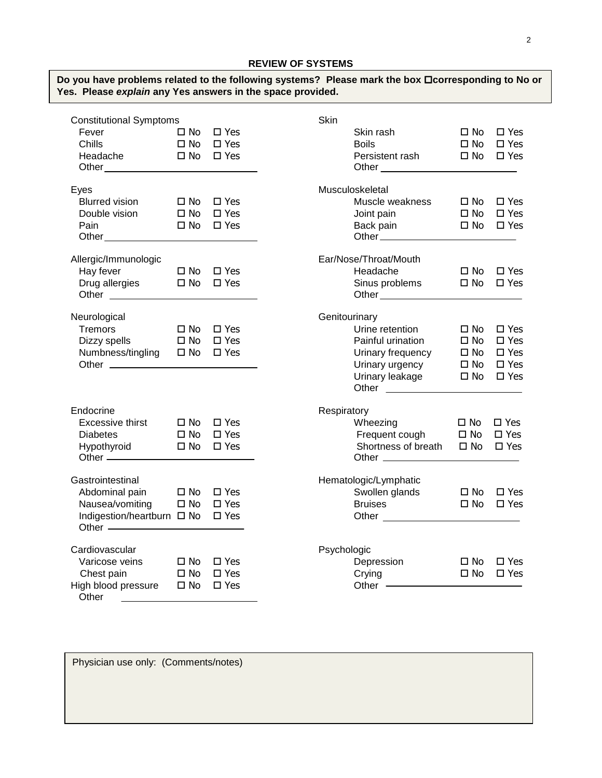| Do you have problems related to the following systems? Please mark the box □corresponding to No or<br>Yes. Please explain any Yes answers in the space provided. |              |                            |             |                                                                                                                                                                                                                               |              |                      |
|------------------------------------------------------------------------------------------------------------------------------------------------------------------|--------------|----------------------------|-------------|-------------------------------------------------------------------------------------------------------------------------------------------------------------------------------------------------------------------------------|--------------|----------------------|
| <b>Constitutional Symptoms</b>                                                                                                                                   |              |                            | Skin        |                                                                                                                                                                                                                               |              |                      |
| D No □ Yes<br>Fever                                                                                                                                              |              |                            |             | Skin rash and the state of the state of the state of the state of the state of the state of the state of the state of the state of the state of the state of the state of the state of the state of the state of the state of |              | $\Box$ No $\Box$ Yes |
| D No □ Yes<br>Chills                                                                                                                                             |              |                            |             | <b>Boils</b>                                                                                                                                                                                                                  | $\square$ No | $\square$ Yes        |
|                                                                                                                                                                  |              |                            |             | Persistent rash □ No □ Yes                                                                                                                                                                                                    |              |                      |
| Eyes                                                                                                                                                             |              |                            |             | Musculoskeletal                                                                                                                                                                                                               |              |                      |
| <b>Blurred vision</b>                                                                                                                                            |              | $\square$ No $\square$ Yes |             | Muscle weakness □ No □ Yes                                                                                                                                                                                                    |              |                      |
| Double vision $\Box$ No $\Box$ Yes                                                                                                                               |              |                            |             | Joint pain                                                                                                                                                                                                                    |              | $\Box$ No $\Box$ Yes |
| D No □ Yes<br>Pain                                                                                                                                               |              |                            |             | Back pain □ No □ Yes                                                                                                                                                                                                          |              |                      |
| Allergic/Immunologic                                                                                                                                             |              |                            |             | Ear/Nose/Throat/Mouth                                                                                                                                                                                                         |              |                      |
| Hay fever $\Box$ No $\Box$ Yes                                                                                                                                   |              |                            |             | Headache                                                                                                                                                                                                                      |              | $\Box$ No $\Box$ Yes |
| Drug allergies □ No □ Yes                                                                                                                                        |              |                            |             | Sinus problems $\Box$ No $\Box$ Yes                                                                                                                                                                                           |              |                      |
| Neurological                                                                                                                                                     |              |                            |             | Genitourinary                                                                                                                                                                                                                 |              |                      |
| Tremors                                                                                                                                                          |              | $\Box$ No $\Box$ Yes       |             | Urine retention                                                                                                                                                                                                               | $\square$ No | $\square$ Yes        |
| Dizzy spells $\Box$ No $\Box$ Yes                                                                                                                                |              |                            |             | Painful urination                                                                                                                                                                                                             | $\square$ No | $\square$ Yes        |
| Numbness/tingling □ No □ Yes                                                                                                                                     |              |                            |             | Urinary frequency                                                                                                                                                                                                             | $\square$ No | $\square$ Yes        |
|                                                                                                                                                                  |              |                            |             | Urinary urgency                                                                                                                                                                                                               | $\square$ No | $\square$ Yes        |
|                                                                                                                                                                  |              |                            |             | Urinary leakage $\Box$ No $\Box$ Yes                                                                                                                                                                                          |              |                      |
| Endocrine                                                                                                                                                        |              |                            | Respiratory |                                                                                                                                                                                                                               |              |                      |
| Excessive thirst $\Box$ No $\Box$ Yes                                                                                                                            |              |                            |             | Wheezing                                                                                                                                                                                                                      | □ No □ Yes   |                      |
| <b>Diabetes</b>                                                                                                                                                  |              | □ No □ Yes                 |             | Frequent cough                                                                                                                                                                                                                | □ No □ Yes   |                      |
| Hypothyroid □ No □ Yes                                                                                                                                           |              |                            |             | Shortness of breath $\Box$ No $\Box$ Yes                                                                                                                                                                                      |              |                      |
| Gastrointestinal                                                                                                                                                 |              |                            |             | Hematologic/Lymphatic                                                                                                                                                                                                         |              |                      |
| Abdominal pain<br>$\square$ No $\square$ Yes                                                                                                                     |              |                            |             | Swollen glands                                                                                                                                                                                                                |              | $\Box$ No $\Box$ Yes |
| Nausea/vomiting □ No □ Yes                                                                                                                                       |              |                            |             | <b>Bruises</b>                                                                                                                                                                                                                | $\square$ No | $\square$ Yes        |
| Indigestion/heartburn □ No □ Yes                                                                                                                                 |              |                            |             | Other <sub>________</sub>                                                                                                                                                                                                     |              |                      |
| Cardiovascular                                                                                                                                                   |              |                            | Psychologic |                                                                                                                                                                                                                               |              |                      |
| Varicose veins                                                                                                                                                   | $\square$ No | $\square$ Yes              |             | Depression                                                                                                                                                                                                                    | $\square$ No | $\square$ Yes        |
| Chest pain                                                                                                                                                       | $\square$ No | $\square$ Yes              |             | Crying                                                                                                                                                                                                                        | $\square$ No | $\square$ Yes        |
| High blood pressure<br>Other $\_\_$                                                                                                                              | $\square$ No | $\square$ Yes              |             | Other —                                                                                                                                                                                                                       |              |                      |

Physician use only: (Comments/notes)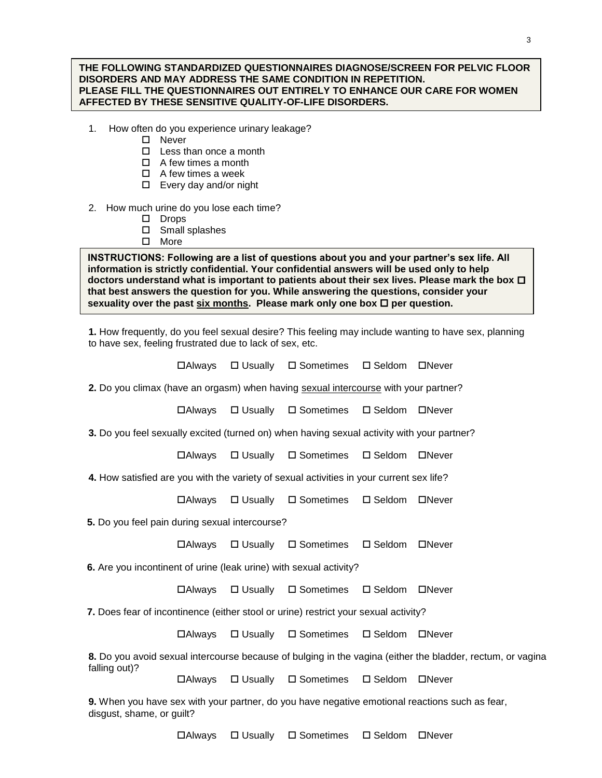## **THE FOLLOWING STANDARDIZED QUESTIONNAIRES DIAGNOSE/SCREEN FOR PELVIC FLOOR DISORDERS AND MAY ADDRESS THE SAME CONDITION IN REPETITION. PLEASE FILL THE QUESTIONNAIRES OUT ENTIRELY TO ENHANCE OUR CARE FOR WOMEN AFFECTED BY THESE SENSITIVE QUALITY-OF-LIFE DISORDERS.**

- 1. How often do you experience urinary leakage?
	- □ Never

Ī

- $\Box$  Less than once a month
- $\Box$  A few times a month
- $\Box$  A few times a week
- $\square$  Every day and/or night

## 2. How much urine do you lose each time?

- Drops
- □ Small splashes
- □ More

**INSTRUCTIONS: Following are a list of questions about you and your partner's sex life. All information is strictly confidential. Your confidential answers will be used only to help doctors understand what is important to patients about their sex lives. Please mark the box that best answers the question for you. While answering the questions, consider your**  sexuality over the past six months. Please mark only one box  $\Box$  per question.

**1.** How frequently, do you feel sexual desire? This feeling may include wanting to have sex, planning to have sex, feeling frustrated due to lack of sex, etc.

 $\Box$  Always  $\Box$  Usually  $\Box$  Sometimes  $\Box$  Seldom  $\Box$  Never **2.** Do you climax (have an orgasm) when having sexual intercourse with your partner?  $\Box$  Always  $\Box$  Usually  $\Box$  Sometimes  $\Box$  Seldom  $\Box$  Never Always Usually Sometimes Seldom Never  $\Box$  Always  $\Box$  Usually  $\Box$  Sometimes  $\Box$  Seldom  $\Box$  Never Always Usually Sometimes Seldom Never Always Usually Sometimes Seldom Never  $\Box$  Always  $\Box$  Usually  $\Box$  Sometimes  $\Box$  Seldom  $\Box$  Never **8.** Do you avoid sexual intercourse because of bulging in the vagina (either the bladder, rectum, or vagina falling out)?

Always Usually Sometimes Seldom Never

**9.** When you have sex with your partner, do you have negative emotional reactions such as fear, disgust, shame, or guilt?

**3.** Do you feel sexually excited (turned on) when having sexual activity with your partner?

**4.** How satisfied are you with the variety of sexual activities in your current sex life?

**5.** Do you feel pain during sexual intercourse?

 **6.** Are you incontinent of urine (leak urine) with sexual activity?

 **7.** Does fear of incontinence (either stool or urine) restrict your sexual activity?

3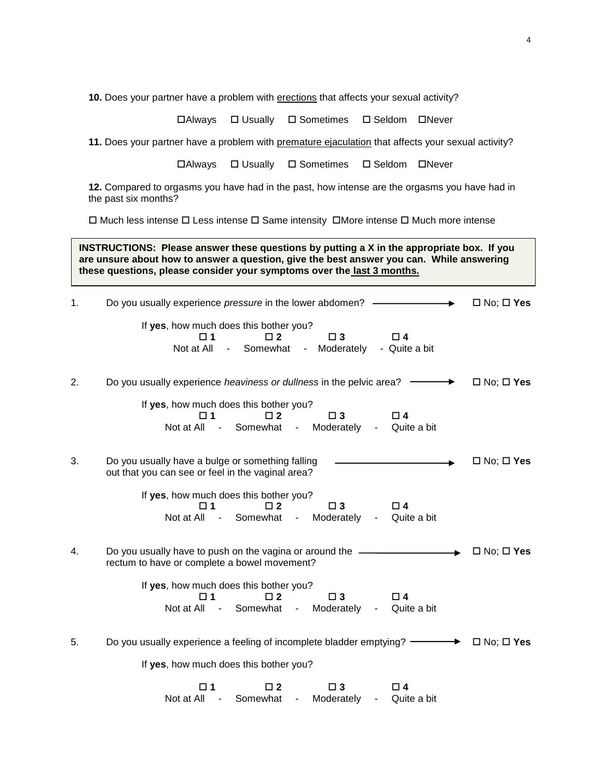10. Does your partner have a problem with erections that affects your sexual activity?

**□Always** □ Usually □ Sometimes □ Seldom □ Never

**11.** Does your partner have a problem with premature ejaculation that affects your sexual activity?

**□Always** □ Usually □ Sometimes □ Seldom □ Never

**12.** Compared to orgasms you have had in the past, how intense are the orgasms you have had in the past six months?

 $\Box$  Much less intense  $\Box$  Less intense  $\Box$  Same intensity  $\Box$  More intense  $\Box$  Much more intense

**INSTRUCTIONS: Please answer these questions by putting a X in the appropriate box. If you are unsure about how to answer a question, give the best answer you can. While answering these questions, please consider your symptoms over the last 3 months.** 

| 1. | Do you usually experience pressure in the lower abdomen? —                                                                                                                                         | $\Box$ No; $\Box$ Yes |
|----|----------------------------------------------------------------------------------------------------------------------------------------------------------------------------------------------------|-----------------------|
|    | If yes, how much does this bother you?<br>$\Box$ 4<br>$\square$ 3<br>⊓ 1<br>$\Box$ 2<br>Somewhat<br>Not at All<br>- Moderately<br>- Quite a bit<br>$\blacksquare$                                  |                       |
| 2. | Do you usually experience heaviness or dullness in the pelvic area? -                                                                                                                              | $\Box$ No; $\Box$ Yes |
|    | If yes, how much does this bother you?<br>$\square$ 2<br>$\square$ 3<br>$\square$ 4<br>□ 1<br>Not at All<br>Somewhat -<br>Moderately<br>$\sim 10^{-11}$<br>Quite a bit<br>$\overline{\phantom{a}}$ |                       |
| 3. | Do you usually have a bulge or something falling<br>out that you can see or feel in the vaginal area?                                                                                              | $\Box$ No; $\Box$ Yes |
|    | If yes, how much does this bother you?<br>$\square$ 1<br>$\Box$ 2<br>$\square$ 3<br>$\square$ 4<br>- Somewhat<br>Moderately<br>Quite a bit<br>Not at All<br>$\sim 10^{-11}$<br>$\sim 10$           |                       |
| 4. | Do you usually have to push on the vagina or around the ________________________<br>rectum to have or complete a bowel movement?                                                                   | $\Box$ No; $\Box$ Yes |
|    | If yes, how much does this bother you?<br>$\Box$ 3<br>$\Box$ 4<br>$\Box$ 2<br>⊓ 1<br>Somewhat<br>- Moderately<br>Not at All<br>Quite a bit<br>$\sim 100$<br>$\blacksquare$                         |                       |
| 5. | Do you usually experience a feeling of incomplete bladder emptying? —                                                                                                                              | $\Box$ No; $\Box$ Yes |
|    | If yes, how much does this bother you?                                                                                                                                                             |                       |
|    | $\square$ 2<br>$\square$ 3<br>□ 1<br>□ 4<br>Somewhat<br>Not at All<br>Moderately<br>Quite a bit<br>$\blacksquare$                                                                                  |                       |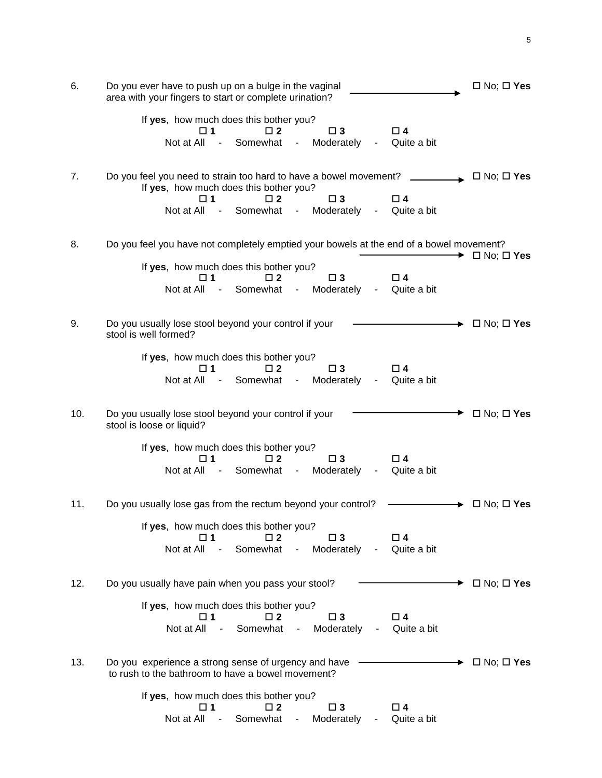| 6.  | Do you ever have to push up on a bulge in the vaginal<br>area with your fingers to start or complete urination?                                                                                                                                                        |                            |  |  |  |
|-----|------------------------------------------------------------------------------------------------------------------------------------------------------------------------------------------------------------------------------------------------------------------------|----------------------------|--|--|--|
|     | If yes, how much does this bother you?<br>$\Box$ 3<br>$\Box$ 4<br>$\Box$ 2<br>□ 1<br>Not at All<br>Somewhat<br>Moderately<br>Quite a bit<br>$\blacksquare$<br>۰.<br>۰                                                                                                  |                            |  |  |  |
| 7.  | Do you feel you need to strain too hard to have a bowel movement?<br>If yes, how much does this bother you?<br>$\Box$ 2<br>$\square$ 3<br>$\square$ 4<br>□ 1<br>Not at All<br>Somewhat<br>Moderately<br>Quite a bit<br>$\sim 100$ m $^{-1}$<br>$\sim 10$<br>$\sim 100$ | $\Box$ No; $\Box$ Yes      |  |  |  |
| 8.  | Do you feel you have not completely emptied your bowels at the end of a bowel movement?                                                                                                                                                                                | $\Box$ No; $\Box$ Yes      |  |  |  |
|     | If yes, how much does this bother you?<br>$\Box$ 2<br>$\Box$ 3<br>$\square$ 4<br>□ 1<br>Not at All<br>Somewhat<br>Moderately<br>Quite a bit<br>$\sim$ $-$<br>$\sim$<br>$\blacksquare$                                                                                  |                            |  |  |  |
| 9.  | Do you usually lose stool beyond your control if your<br>stool is well formed?                                                                                                                                                                                         | $\Box$ No; $\Box$ Yes      |  |  |  |
|     | If yes, how much does this bother you?<br>$\Box$ 2<br>$\Box$ 3<br>□ 4<br>□ 1<br>Not at All<br>Somewhat<br>Moderately<br>Quite a bit<br>$\sim 100$ m $^{-1}$<br>$\sim 100$<br>$\overline{\phantom{a}}$                                                                  |                            |  |  |  |
| 10. | Do you usually lose stool beyond your control if your<br>stool is loose or liquid?                                                                                                                                                                                     | $\Box$ No; $\Box$ Yes      |  |  |  |
|     | If yes, how much does this bother you?<br>$\square$ 2<br>$\Box$ 4<br>$\square$ 1<br>$\square$ 3<br>Not at All<br>Somewhat<br>Moderately<br>Quite a bit<br>$\sim 100$ m $^{-1}$<br>$\sim 100$<br>۰                                                                      |                            |  |  |  |
| 11. | Do you usually lose gas from the rectum beyond your control?                                                                                                                                                                                                           | $\Box$ No; $\Box$ Yes      |  |  |  |
|     | If yes, how much does this bother you?<br>□ 2<br>$\Box$ 3<br>□ 4<br>□ 1<br>Not at All<br>Somewhat<br>Moderately<br>Quite a bit<br>۰                                                                                                                                    |                            |  |  |  |
| 12. | Do you usually have pain when you pass your stool?                                                                                                                                                                                                                     | $\Box$ No; $\Box$ Yes<br>, |  |  |  |
|     | If yes, how much does this bother you?<br>$\square$ 3<br>$\square$ 1<br>□ 2<br>$\square$ 4<br>Somewhat<br>Moderately<br>Not at All -<br>Quite a bit<br>$\sim 10^{-11}$<br>$\sim 100$                                                                                   |                            |  |  |  |
| 13. | Do you experience a strong sense of urgency and have<br>to rush to the bathroom to have a bowel movement?                                                                                                                                                              | $\Box$ No; $\Box$ Yes      |  |  |  |
|     | If yes, how much does this bother you?<br>$\Box$ 2<br>$\square$ 3<br>□ 1<br>□ 4<br>Not at All<br>Somewhat<br>Moderately<br>Quite a bit<br>$\sim$ $-$<br>$\blacksquare$                                                                                                 |                            |  |  |  |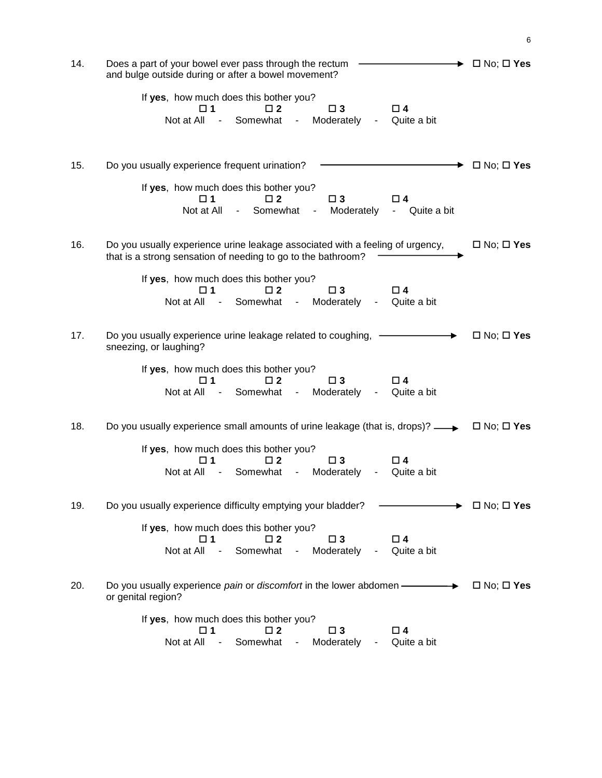| 14. | Does a part of your bowel ever pass through the rectum<br>and bulge outside during or after a bowel movement?                                                                                               |                       |  |  |  |
|-----|-------------------------------------------------------------------------------------------------------------------------------------------------------------------------------------------------------------|-----------------------|--|--|--|
|     | If yes, how much does this bother you?<br>$\square$ 4<br>$\square$ 3<br>$\Box$ 2<br>□ 1<br>Somewhat<br>Not at All<br>Moderately<br>Quite a bit<br>$\sim 100$<br>$\blacksquare$<br>$\blacksquare$            |                       |  |  |  |
| 15. | Do you usually experience frequent urination?                                                                                                                                                               | $\Box$ No; $\Box$ Yes |  |  |  |
|     | If yes, how much does this bother you?<br>$\square$ 1<br>$\square$ 2<br>$\square$ 3<br>□ 4<br>Not at All<br>Somewhat<br>Moderately<br>- Quite a bit<br>$\sim 100$<br>$\blacksquare$                         |                       |  |  |  |
| 16. | Do you usually experience urine leakage associated with a feeling of urgency,<br>that is a strong sensation of needing to go to the bathroom?                                                               | $\Box$ No; $\Box$ Yes |  |  |  |
|     | If yes, how much does this bother you?<br>$\Box$ 3<br>$\Box$ 4<br>□ 1<br>$\Box$ 2<br>Somewhat<br>Moderately<br>Not at All<br>Quite a bit<br>$\sim$ $ \sim$<br>$\sim 100$<br>$\blacksquare$                  |                       |  |  |  |
| 17. | Do you usually experience urine leakage related to coughing,<br>sneezing, or laughing?                                                                                                                      | $\Box$ No; $\Box$ Yes |  |  |  |
|     | If yes, how much does this bother you?<br>$\Box$ 2<br>$\Box$ 3<br>□ 4<br>□ 1<br>Not at All<br>Somewhat<br>Moderately<br>Quite a bit<br>$\sim 10^{-10}$<br>$\sim 100$<br>$\blacksquare$                      |                       |  |  |  |
| 18. | Do you usually experience small amounts of urine leakage (that is, drops)? $\longrightarrow$                                                                                                                | $\Box$ No; $\Box$ Yes |  |  |  |
|     | If yes, how much does this bother you?<br>$\square$ 2<br>$\square$ 3<br>$\Box$ 4<br>□ 1<br>Not at All<br>Somewhat<br>Moderately<br>Quite a bit<br>$\blacksquare$<br>۰                                       |                       |  |  |  |
| 19. | Do you usually experience difficulty emptying your bladder?                                                                                                                                                 | $\Box$ No; $\Box$ Yes |  |  |  |
|     | If yes, how much does this bother you?<br>$\square$ 3<br>$\square$ 4<br>$\Box$ 2<br>□ 1<br>Not at All<br>Somewhat<br>Moderately<br>Quite a bit<br>$\overline{\phantom{a}}$<br>۰<br>$\overline{\phantom{a}}$ |                       |  |  |  |
| 20. | Do you usually experience pain or discomfort in the lower abdomen -<br>or genital region?                                                                                                                   | $\Box$ No; $\Box$ Yes |  |  |  |
|     | If yes, how much does this bother you?<br>$\square$ 2<br>$\square$ 3<br>$\Box$ 4<br>□ 1<br>Not at All<br>Somewhat<br>Moderately<br>Quite a bit<br>$\overline{\phantom{a}}$<br>۰                             |                       |  |  |  |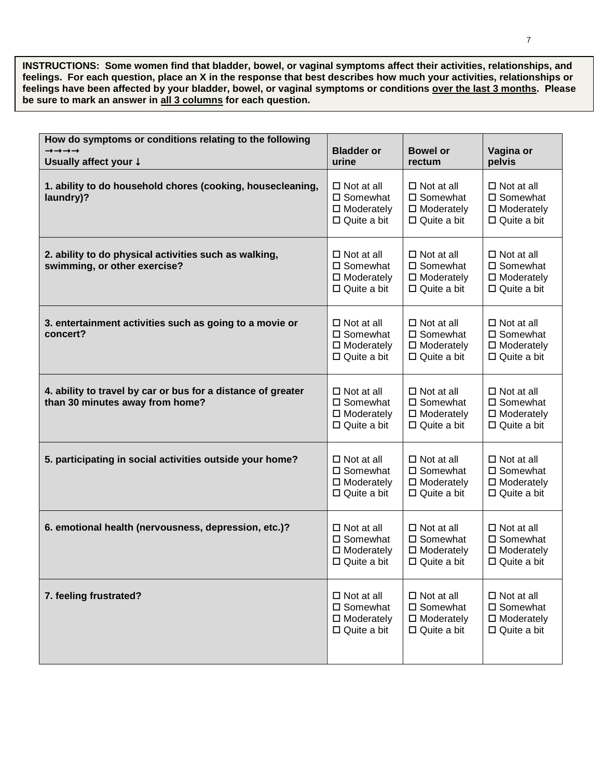**INSTRUCTIONS: Some women find that bladder, bowel, or vaginal symptoms affect their activities, relationships, and feelings. For each question, place an X in the response that best describes how much your activities, relationships or feelings have been affected by your bladder, bowel, or vaginal symptoms or conditions over the last 3 months. Please be sure to mark an answer in all 3 columns for each question.**

| How do symptoms or conditions relating to the following<br>$\rightarrow \rightarrow \rightarrow \rightarrow$ |                                                                                       |                                                                               |                                                                               |
|--------------------------------------------------------------------------------------------------------------|---------------------------------------------------------------------------------------|-------------------------------------------------------------------------------|-------------------------------------------------------------------------------|
| Usually affect your $\downarrow$                                                                             | <b>Bladder or</b><br>urine                                                            | <b>Bowel or</b><br>rectum                                                     | Vagina or<br>pelvis                                                           |
| 1. ability to do household chores (cooking, housecleaning,<br>laundry)?                                      | $\Box$ Not at all<br>$\square$ Somewhat<br>$\Box$ Moderately<br>$\Box$ Quite a bit    | $\Box$ Not at all<br>□ Somewhat<br>$\Box$ Moderately<br>$\Box$ Quite a bit    | $\Box$ Not at all<br>□ Somewhat<br>$\Box$ Moderately<br>$\Box$ Quite a bit    |
| 2. ability to do physical activities such as walking,<br>swimming, or other exercise?                        | $\Box$ Not at all<br>□ Somewhat<br>$\Box$ Moderately<br>$\Box$ Quite a bit            | $\Box$ Not at all<br>□ Somewhat<br>$\Box$ Moderately<br>$\Box$ Quite a bit    | $\Box$ Not at all<br>□ Somewhat<br>$\square$ Moderately<br>$\Box$ Quite a bit |
| 3. entertainment activities such as going to a movie or<br>concert?                                          | $\Box$ Not at all<br>$\square$ Somewhat<br>$\Box$ Moderately<br>$\Box$ Quite a bit    | $\Box$ Not at all<br>□ Somewhat<br>$\Box$ Moderately<br>$\Box$ Quite a bit    | $\Box$ Not at all<br>□ Somewhat<br>$\square$ Moderately<br>$\Box$ Quite a bit |
| 4. ability to travel by car or bus for a distance of greater<br>than 30 minutes away from home?              | $\Box$ Not at all<br>□ Somewhat<br>$\Box$ Moderately<br>$\Box$ Quite a bit            | $\Box$ Not at all<br>□ Somewhat<br>$\square$ Moderately<br>$\Box$ Quite a bit | $\Box$ Not at all<br>□ Somewhat<br>$\square$ Moderately<br>$\Box$ Quite a bit |
| 5. participating in social activities outside your home?                                                     | $\Box$ Not at all<br>□ Somewhat<br>$\Box$ Moderately<br>$\Box$ Quite a bit            | $\Box$ Not at all<br>□ Somewhat<br>$\Box$ Moderately<br>$\Box$ Quite a bit    | $\Box$ Not at all<br>□ Somewhat<br>$\square$ Moderately<br>$\Box$ Quite a bit |
| 6. emotional health (nervousness, depression, etc.)?                                                         | $\Box$ Not at all<br>$\square$ Somewhat<br>$\square$ Moderately<br>$\Box$ Quite a bit | $\Box$ Not at all<br>□ Somewhat<br>$\Box$ Moderately<br>$\Box$ Quite a bit    | $\Box$ Not at all<br>□ Somewhat<br>$\Box$ Moderately<br>$\Box$ Quite a bit    |
| 7. feeling frustrated?                                                                                       | $\Box$ Not at all<br>$\square$ Somewhat<br>$\Box$ Moderately<br>$\Box$ Quite a bit    | $\Box$ Not at all<br>□ Somewhat<br>$\Box$ Moderately<br>$\Box$ Quite a bit    | $\Box$ Not at all<br>□ Somewhat<br>$\square$ Moderately<br>$\Box$ Quite a bit |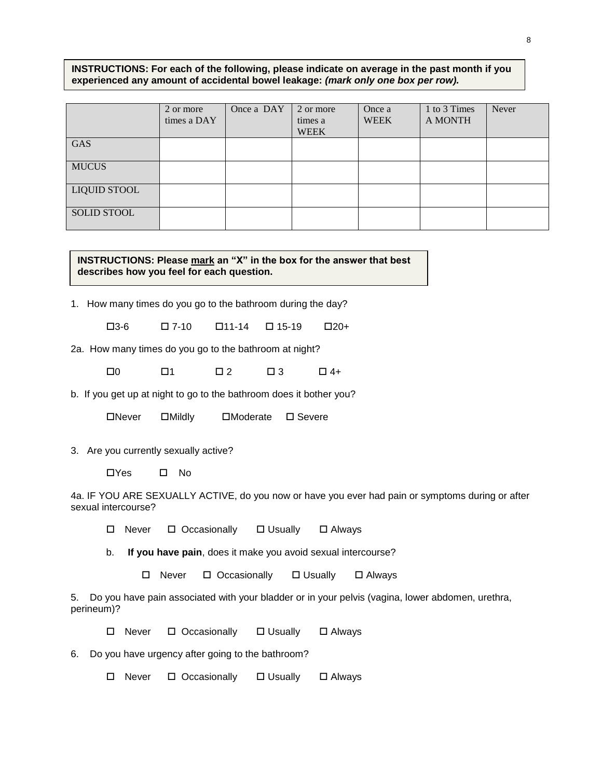**INSTRUCTIONS: For each of the following, please indicate on average in the past month if you experienced any amount of accidental bowel leakage:** *(mark only one box per row).*

|                    | 2 or more<br>times a DAY | Once a DAY | 2 or more<br>times a<br><b>WEEK</b> | Once a<br><b>WEEK</b> | 1 to 3 Times<br>A MONTH | Never |
|--------------------|--------------------------|------------|-------------------------------------|-----------------------|-------------------------|-------|
| GAS                |                          |            |                                     |                       |                         |       |
| <b>MUCUS</b>       |                          |            |                                     |                       |                         |       |
| LIQUID STOOL       |                          |            |                                     |                       |                         |       |
| <b>SOLID STOOL</b> |                          |            |                                     |                       |                         |       |

**INSTRUCTIONS: Please mark an "X" in the box for the answer that best describes how you feel for each question.**

1. How many times do you go to the bathroom during the day?

 $\Box$ 3-6  $\Box$  7-10  $\Box$ 11-14  $\Box$  15-19  $\Box$  20+

2a. How many times do you go to the bathroom at night?

 $\square 0$   $\square 1$   $\square 2$   $\square 3$   $\square 4+$ 

b. If you get up at night to go to the bathroom does it bother you?

Never Mildly Moderate Severe

3. Are you currently sexually active?

Yes No

4a. IF YOU ARE SEXUALLY ACTIVE, do you now or have you ever had pain or symptoms during or after sexual intercourse?

 $\Box$  Never  $\Box$  Occasionally  $\Box$  Usually  $\Box$  Always

b. **If you have pain**, does it make you avoid sexual intercourse?

 $\Box$  Never  $\Box$  Occasionally  $\Box$  Usually  $\Box$  Always

5. Do you have pain associated with your bladder or in your pelvis (vagina, lower abdomen, urethra, perineum)?

 $\Box$  Never  $\Box$  Occasionally  $\Box$  Usually  $\Box$  Always

6. Do you have urgency after going to the bathroom?

 $\Box$  Never  $\Box$  Occasionally  $\Box$  Usually  $\Box$  Always